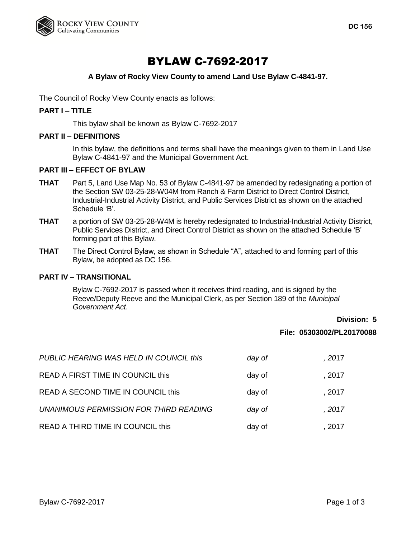

# BYLAW C-7692-2017

## **A Bylaw of Rocky View County to amend Land Use Bylaw C-4841-97.**

The Council of Rocky View County enacts as follows:

### **PART I – TITLE**

This bylaw shall be known as Bylaw C-7692-2017

#### **PART II – DEFINITIONS**

In this bylaw, the definitions and terms shall have the meanings given to them in Land Use Bylaw C-4841-97 and the Municipal Government Act.

## **PART III – EFFECT OF BYLAW**

- **THAT** Part 5, Land Use Map No. 53 of Bylaw C-4841-97 be amended by redesignating a portion of the Section SW 03-25-28-W04M from Ranch & Farm District to Direct Control District, Industrial-Industrial Activity District, and Public Services District as shown on the attached Schedule 'B'.
- **THAT** a portion of SW 03-25-28-W4M is hereby redesignated to Industrial-Industrial Activity District, Public Services District, and Direct Control District as shown on the attached Schedule 'B' forming part of this Bylaw.
- **THAT** The Direct Control Bylaw, as shown in Schedule "A", attached to and forming part of this Bylaw, be adopted as DC 156.

## **PART IV – TRANSITIONAL**

Bylaw C-7692-2017 is passed when it receives third reading, and is signed by the Reeve/Deputy Reeve and the Municipal Clerk, as per Section 189 of the *Municipal Government Act*.

# **Division: 5 File: 05303002/PL20170088**

| PUBLIC HEARING WAS HELD IN COUNCIL this | day of | . 2017 |
|-----------------------------------------|--------|--------|
| READ A FIRST TIME IN COUNCIL this       | day of | , 2017 |
| READ A SECOND TIME IN COUNCIL this      | day of | . 2017 |
| UNANIMOUS PERMISSION FOR THIRD READING  | day of | . 2017 |
| READ A THIRD TIME IN COUNCIL this       | day of | . 2017 |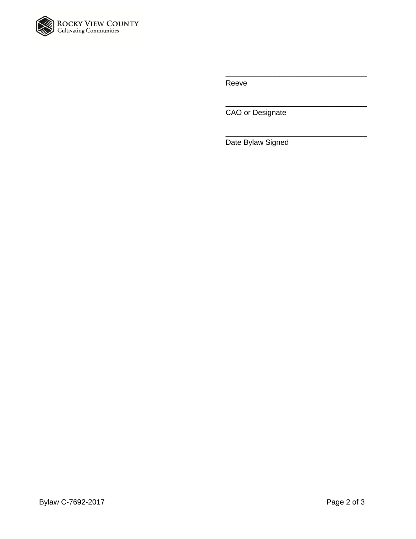

Reeve

CAO or Designate

\_\_\_\_\_\_\_\_\_\_\_\_\_\_\_\_\_\_\_\_\_\_\_\_\_\_\_\_\_\_\_\_\_\_

\_\_\_\_\_\_\_\_\_\_\_\_\_\_\_\_\_\_\_\_\_\_\_\_\_\_\_\_\_\_\_\_\_\_

\_\_\_\_\_\_\_\_\_\_\_\_\_\_\_\_\_\_\_\_\_\_\_\_\_\_\_\_\_\_\_\_\_\_

Date Bylaw Signed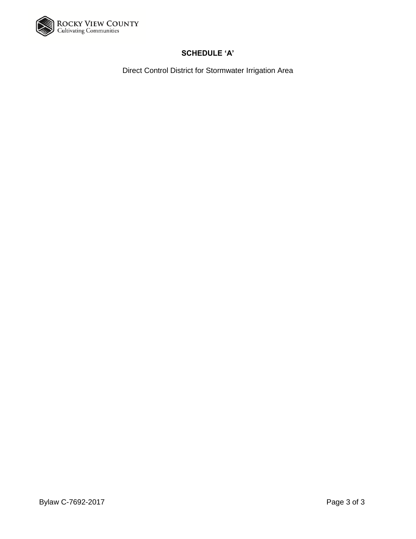

# **SCHEDULE 'A'**

Direct Control District for Stormwater Irrigation Area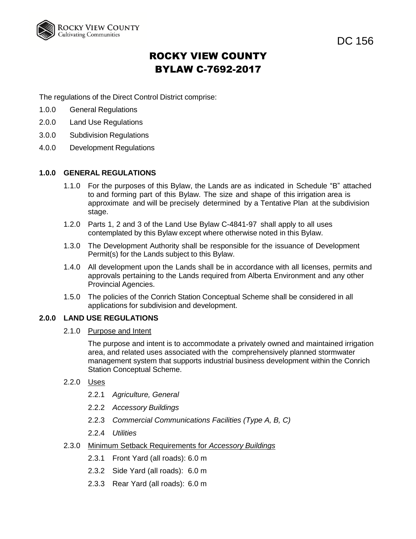

DC 156

# ROCKY VIEW COUNTY BYLAW C-7692-2017

The regulations of the Direct Control District comprise:

- 1.0.0 General Regulations
- 2.0.0 Land Use Regulations
- 3.0.0 Subdivision Regulations
- 4.0.0 Development Regulations

## **1.0.0 GENERAL REGULATIONS**

- 1.1.0 For the purposes of this Bylaw, the Lands are as indicated in Schedule "B" attached to and forming part of this Bylaw. The size and shape of this irrigation area is approximate and will be precisely determined by a Tentative Plan at the subdivision stage.
- 1.2.0 Parts 1, 2 and 3 of the Land Use Bylaw C-4841-97 shall apply to all uses contemplated by this Bylaw except where otherwise noted in this Bylaw.
- 1.3.0 The Development Authority shall be responsible for the issuance of Development Permit(s) for the Lands subject to this Bylaw.
- 1.4.0 All development upon the Lands shall be in accordance with all licenses, permits and approvals pertaining to the Lands required from Alberta Environment and any other Provincial Agencies.
- 1.5.0 The policies of the Conrich Station Conceptual Scheme shall be considered in all applications for subdivision and development.

#### **2.0.0 LAND USE REGULATIONS**

2.1.0 Purpose and Intent

The purpose and intent is to accommodate a privately owned and maintained irrigation area, and related uses associated with the comprehensively planned stormwater management system that supports industrial business development within the Conrich Station Conceptual Scheme.

- 2.2.0 Uses
	- 2.2.1 *Agriculture, General*
	- 2.2.2 *Accessory Buildings*
	- 2.2.3 *Commercial Communications Facilities (Type A, B, C)*
	- 2.2.4 *Utilities*
- 2.3.0 Minimum Setback Requirements for *Accessory Buildings*
	- 2.3.1 Front Yard (all roads): 6.0 m
	- 2.3.2 Side Yard (all roads): 6.0 m
	- 2.3.3 Rear Yard (all roads): 6.0 m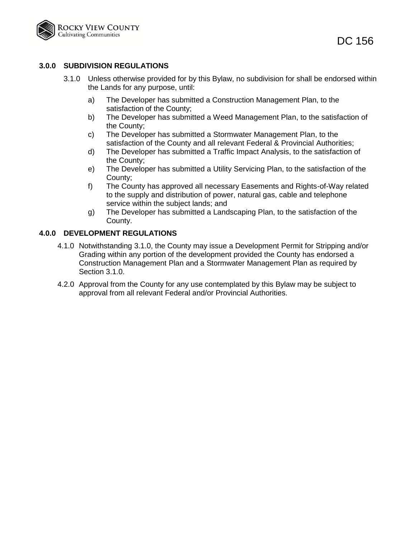

## **3.0.0 SUBDIVISION REGULATIONS**

- 3.1.0 Unless otherwise provided for by this Bylaw, no subdivision for shall be endorsed within the Lands for any purpose, until:
	- a) The Developer has submitted a Construction Management Plan, to the satisfaction of the County;
	- b) The Developer has submitted a Weed Management Plan, to the satisfaction of the County;
	- c) The Developer has submitted a Stormwater Management Plan, to the satisfaction of the County and all relevant Federal & Provincial Authorities;
	- d) The Developer has submitted a Traffic Impact Analysis, to the satisfaction of the County;
	- e) The Developer has submitted a Utility Servicing Plan, to the satisfaction of the County;
	- f) The County has approved all necessary Easements and Rights-of-Way related to the supply and distribution of power, natural gas, cable and telephone service within the subject lands; and
	- g) The Developer has submitted a Landscaping Plan, to the satisfaction of the County.

## **4.0.0 DEVELOPMENT REGULATIONS**

- 4.1.0 Notwithstanding 3.1.0, the County may issue a Development Permit for Stripping and/or Grading within any portion of the development provided the County has endorsed a Construction Management Plan and a Stormwater Management Plan as required by Section 3.1.0.
- 4.2.0 Approval from the County for any use contemplated by this Bylaw may be subject to approval from all relevant Federal and/or Provincial Authorities.